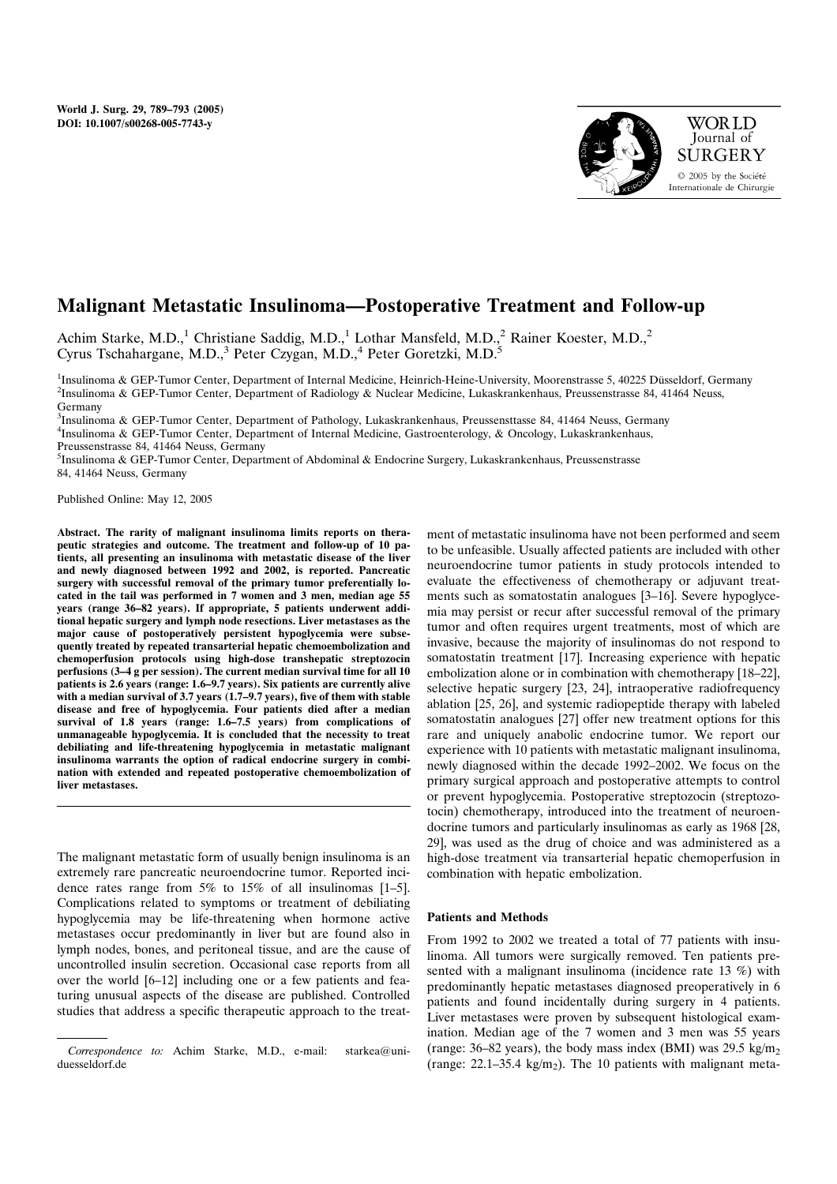

# Malignant Metastatic Insulinoma—Postoperative Treatment and Follow-up

Achim Starke, M.D.,<sup>1</sup> Christiane Saddig, M.D.,<sup>1</sup> Lothar Mansfeld, M.D.,<sup>2</sup> Rainer Koester, M.D.,<sup>2</sup> Cyrus Tschahargane, M.D.,<sup>3</sup> Peter Czygan, M.D.,<sup>4</sup> Peter Goretzki, M.D.<sup>5</sup>

<sup>1</sup>Insulinoma & GEP-Tumor Center, Department of Internal Medicine, Heinrich-Heine-University, Moorenstrasse 5, 40225 Düsseldorf, Germany<br><sup>2</sup>Insulinoma & GEP-Tumor Center, Department of Radiology & Nuclear Medicine, Lukaskr <sup>2</sup>Insulinoma & GEP-Tumor Center, Department of Radiology & Nuclear Medicine, Lukaskrankenhaus, Preussenstrasse 84, 41464 Neuss, Germany

3 Insulinoma & GEP-Tumor Center, Department of Pathology, Lukaskrankenhaus, Preussensttasse 84, 41464 Neuss, Germany 4 Insulinoma & GEP-Tumor Center, Department of Internal Medicine, Gastroenterology, & Oncology, Lukaskrankenhaus, Preussenstrasse 84, 41464 Neuss, Germany

5 Insulinoma & GEP-Tumor Center, Department of Abdominal & Endocrine Surgery, Lukaskrankenhaus, Preussenstrasse 84, 41464 Neuss, Germany

Published Online: May 12, 2005

Abstract. The rarity of malignant insulinoma limits reports on therapeutic strategies and outcome. The treatment and follow-up of 10 patients, all presenting an insulinoma with metastatic disease of the liver and newly diagnosed between 1992 and 2002, is reported. Pancreatic surgery with successful removal of the primary tumor preferentially located in the tail was performed in 7 women and 3 men, median age 55 years (range 36–82 years). If appropriate, 5 patients underwent additional hepatic surgery and lymph node resections. Liver metastases as the major cause of postoperatively persistent hypoglycemia were subsequently treated by repeated transarterial hepatic chemoembolization and chemoperfusion protocols using high-dose transhepatic streptozocin perfusions (3–4 g per session). The current median survival time for all 10 patients is 2.6 years (range: 1.6–9.7 years). Six patients are currently alive with a median survival of 3.7 years (1.7–9.7 years), five of them with stable disease and free of hypoglycemia. Four patients died after a median survival of 1.8 years (range: 1.6–7.5 years) from complications of unmanageable hypoglycemia. It is concluded that the necessity to treat debiliating and life-threatening hypoglycemia in metastatic malignant insulinoma warrants the option of radical endocrine surgery in combination with extended and repeated postoperative chemoembolization of liver metastases.

The malignant metastatic form of usually benign insulinoma is an extremely rare pancreatic neuroendocrine tumor. Reported incidence rates range from 5% to 15% of all insulinomas [1–5]. Complications related to symptoms or treatment of debiliating hypoglycemia may be life-threatening when hormone active metastases occur predominantly in liver but are found also in lymph nodes, bones, and peritoneal tissue, and are the cause of uncontrolled insulin secretion. Occasional case reports from all over the world [6–12] including one or a few patients and featuring unusual aspects of the disease are published. Controlled studies that address a specific therapeutic approach to the treat-

ment of metastatic insulinoma have not been performed and seem to be unfeasible. Usually affected patients are included with other neuroendocrine tumor patients in study protocols intended to evaluate the effectiveness of chemotherapy or adjuvant treatments such as somatostatin analogues [3–16]. Severe hypoglycemia may persist or recur after successful removal of the primary tumor and often requires urgent treatments, most of which are invasive, because the majority of insulinomas do not respond to somatostatin treatment [17]. Increasing experience with hepatic embolization alone or in combination with chemotherapy [18–22], selective hepatic surgery [23, 24], intraoperative radiofrequency ablation [25, 26], and systemic radiopeptide therapy with labeled somatostatin analogues [27] offer new treatment options for this rare and uniquely anabolic endocrine tumor. We report our experience with 10 patients with metastatic malignant insulinoma, newly diagnosed within the decade 1992–2002. We focus on the primary surgical approach and postoperative attempts to control or prevent hypoglycemia. Postoperative streptozocin (streptozotocin) chemotherapy, introduced into the treatment of neuroendocrine tumors and particularly insulinomas as early as 1968 [28, 29], was used as the drug of choice and was administered as a high-dose treatment via transarterial hepatic chemoperfusion in combination with hepatic embolization.

### Patients and Methods

From 1992 to 2002 we treated a total of 77 patients with insulinoma. All tumors were surgically removed. Ten patients presented with a malignant insulinoma (incidence rate 13 %) with predominantly hepatic metastases diagnosed preoperatively in 6 patients and found incidentally during surgery in 4 patients. Liver metastases were proven by subsequent histological examination. Median age of the 7 women and 3 men was 55 years (range:  $36-82$  years), the body mass index (BMI) was  $29.5 \text{ kg/m}_2$ (range:  $22.1-35.4 \text{ kg/m}_2$ ). The 10 patients with malignant meta-

Correspondence to: Achim Starke, M.D., e-mail: starkea@uniduesseldorf.de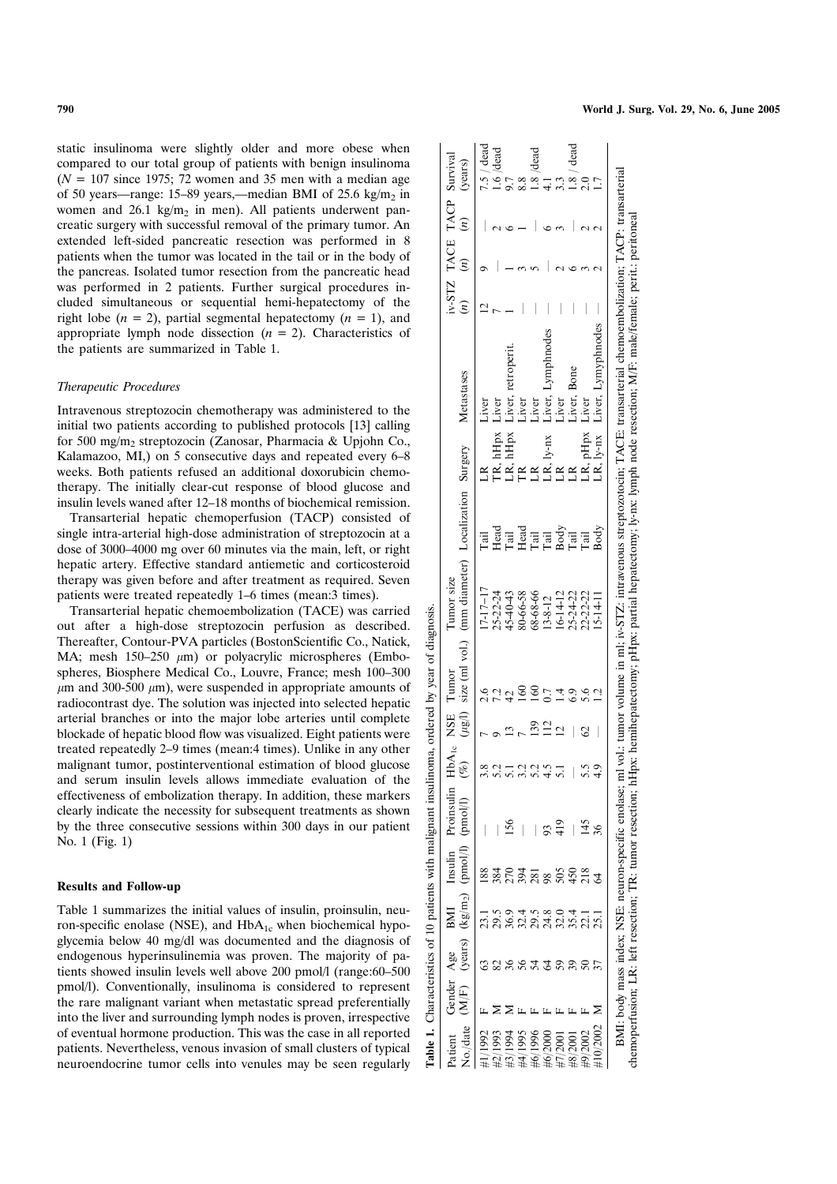static insulinoma were slightly older and more obese when compared to our total group of patients with benign insulinoma  $(N = 107$  since 1975; 72 women and 35 men with a median age of 50 years—range: 15–89 years,—median BMI of 25.6 kg/m<sub>2</sub> in women and  $26.1 \text{ kg/m}_2$  in men). All patients underwent pancreatic surgery with successful removal of the primary tumor. An extended left-sided pancreatic resection was performed in 8 patients when the tumor was located in the tail or in the body of the pancreas. Isolated tumor resection from the pancreatic head was performed in 2 patients. Further surgical procedures included simultaneous or sequential hemi-hepatectomy of the right lobe ( $n = 2$ ), partial segmental hepatectomy ( $n = 1$ ), and appropriate lymph node dissection  $(n = 2)$ . Characteristics of the patients are summarized in Table 1.

### Therapeutic Procedures

Intravenous streptozocin chemotherapy was administered to the initial two patients according to published protocols [13] calling for 500 mg/m<sub>2</sub> streptozocin (Zanosar, Pharmacia & Upjohn Co., Kalamazoo, MI,) on 5 consecutive days and repeated every 6–8 weeks. Both patients refused an additional doxorubicin chemotherapy. The initially clear-cut response of blood glucose and insulin levels waned after 12–18 months of biochemical remission.

Transarterial hepatic chemoperfusion (TACP) consisted of single intra-arterial high-dose administration of streptozocin at a dose of 3000–4000 mg over 60 minutes via the main, left, or right hepatic artery. Effective standard antiemetic and corticosteroid therapy was given before and after treatment as required. Seven patients were treated repeatedly 1–6 times (mean:3 times).

Transarterial hepatic chemoembolization (TACE) was carried out after a high-dose streptozocin perfusion as described. Thereafter, Contour-PVA particles (BostonScientific Co., Natick, MA; mesh  $150-250 \mu m$ ) or polyacrylic microspheres (Embospheres, Biosphere Medical Co., Louvre, France; mesh 100–300  $\mu$ m and 300-500  $\mu$ m), were suspended in appropriate amounts of radiocontrast dye. The solution was injected into selected hepatic arterial branches or into the major lobe arteries until complete blockade of hepatic blood flow was visualized. Eight patients were treated repeatedly 2–9 times (mean:4 times). Unlike in any other malignant tumor, postinterventional estimation of blood glucose and serum insulin levels allows immediate evaluation of the effectiveness of embolization therapy. In addition, these markers clearly indicate the necessity for subsequent treatments as shown by the three consecutive sessions within 300 days in our patient No. 1 (Fig. 1)

#### Results and Follow-up

Table 1 summarizes the initial values of insulin, proinsulin, neuron-specific enolase (NSE), and  $HbA_{1c}$  when biochemical hypoglycemia below 40 mg/dl was documented and the diagnosis of endogenous hyperinsulinemia was proven. The majority of patients showed insulin levels well above 200 pmol/l (range:60–500 pmol/l). Conventionally, insulinoma is considered to represent the rare malignant variant when metastatic spread preferentially into the liver and surrounding lymph nodes is proven, irrespective of eventual hormone production. This was the case in all reported patients. Nevertheless, venous invasion of small clusters of typical neuroendocrine tumor cells into venules may be seen regularly

| $\gamma$ /date<br>atient | Gender Age<br>M/F | (years)      | BMI                                                                     | Insulin<br>$(\text{kg/m}_2)$ (pmol/l)       | Proinsulin<br>(pmol/1)                                                | HbA <sub>1e</sub> NSE Tumor<br>P) | $(\mu$ g/l) | size (ml vol.) (mm diameter) Localization Surgery<br>Tumor size |                               |             | Metastases                                                                                                                                                                                                                                        | $\tilde{u}$ | iv-STZ TACE TACP Survival<br>$\tilde{u}$ | $\left( n\right)$ | (years)    |
|--------------------------|-------------------|--------------|-------------------------------------------------------------------------|---------------------------------------------|-----------------------------------------------------------------------|-----------------------------------|-------------|-----------------------------------------------------------------|-------------------------------|-------------|---------------------------------------------------------------------------------------------------------------------------------------------------------------------------------------------------------------------------------------------------|-------------|------------------------------------------|-------------------|------------|
|                          |                   |              |                                                                         | 88                                          |                                                                       |                                   |             | $17 - 17 - 17$                                                  | <b>Tail</b>                   |             | Liver                                                                                                                                                                                                                                             |             |                                          |                   | 7.5 / dead |
|                          |                   |              |                                                                         |                                             |                                                                       | 5.2                               |             | 25-22-24                                                        |                               | IR, hHpx    | Liver                                                                                                                                                                                                                                             |             |                                          |                   | .6 /dead   |
|                          |                   | 36           | 1 5 9 4 5 8 9 4 1 1<br>5 9 5 5 5 4 5 5 5 5 5 5<br>1 8 5 6 5 5 6 5 6 7 5 |                                             | 156                                                                   | $\overline{51}$                   |             | $15-40-43$                                                      | Head<br>Tail                  | hHpx        | Liver, retroperi                                                                                                                                                                                                                                  |             |                                          |                   |            |
|                          |                   |              |                                                                         |                                             |                                                                       | $\ddot{c}$                        |             | 80-66-58                                                        |                               |             | Liver                                                                                                                                                                                                                                             |             |                                          |                   |            |
|                          |                   | 54           |                                                                         |                                             |                                                                       | 5.2                               |             | 68-68-66                                                        | Had<br>Tai<br>La Soria<br>Tai |             | Liver                                                                                                                                                                                                                                             |             |                                          |                   | dead       |
|                          |                   | $\mathbb{Z}$ |                                                                         |                                             |                                                                       |                                   |             | $13 - 8 - 12$                                                   |                               | $LR, ly-nx$ |                                                                                                                                                                                                                                                   |             |                                          |                   |            |
|                          |                   | 59           |                                                                         |                                             |                                                                       | $rac{5}{10}$                      |             | $16 - 14 - 12$                                                  |                               |             | Liver, Lymphnod<br>Liver                                                                                                                                                                                                                          |             |                                          |                   |            |
|                          |                   | 39           |                                                                         |                                             |                                                                       |                                   |             | 25-24-22                                                        |                               |             | Liver, Bone                                                                                                                                                                                                                                       |             |                                          |                   |            |
|                          |                   |              |                                                                         |                                             | 145                                                                   |                                   |             | 22-22-22                                                        | Tail                          | LR, pHpx    | Liver                                                                                                                                                                                                                                             |             |                                          |                   |            |
|                          |                   |              |                                                                         |                                             | $\frac{8}{5}$                                                         | $\frac{1}{4}$                     |             | $5-14-11$                                                       | Body                          | $LR, ly-nx$ | Liver, Lymyphnodes                                                                                                                                                                                                                                |             |                                          |                   |            |
|                          |                   |              |                                                                         | emoperfusion; LR: left resection; TR: tumor | BMI: body mass index; NSE: neuron-specific enolase; r<br>resection; n |                                   |             |                                                                 |                               |             | nl vol.: tumor volume in ml; iv-STZ: intravenous streptozotocin; TACE: transarterial chemoembolization; TACP: transarterial<br>Hpx: hemihepatectomy; pHpx: partial hepatectomy; ly-nx: lymph node resection; M/F: male/female; perit.: peritoneal |             |                                          |                   |            |

 $\overline{\phantom{0}}$ 

ರ

Table 1. Characteristics of 10 patients with malignant insulinoma, ordered by year of diagnosis.

patients with malignant insulinoma,

 $\frac{1}{2}$ 

Characteristics of 1

 $\ddot{ }$ Table

diagnosis

ð year  $\mathbf{\tilde{z}}$ 

ordered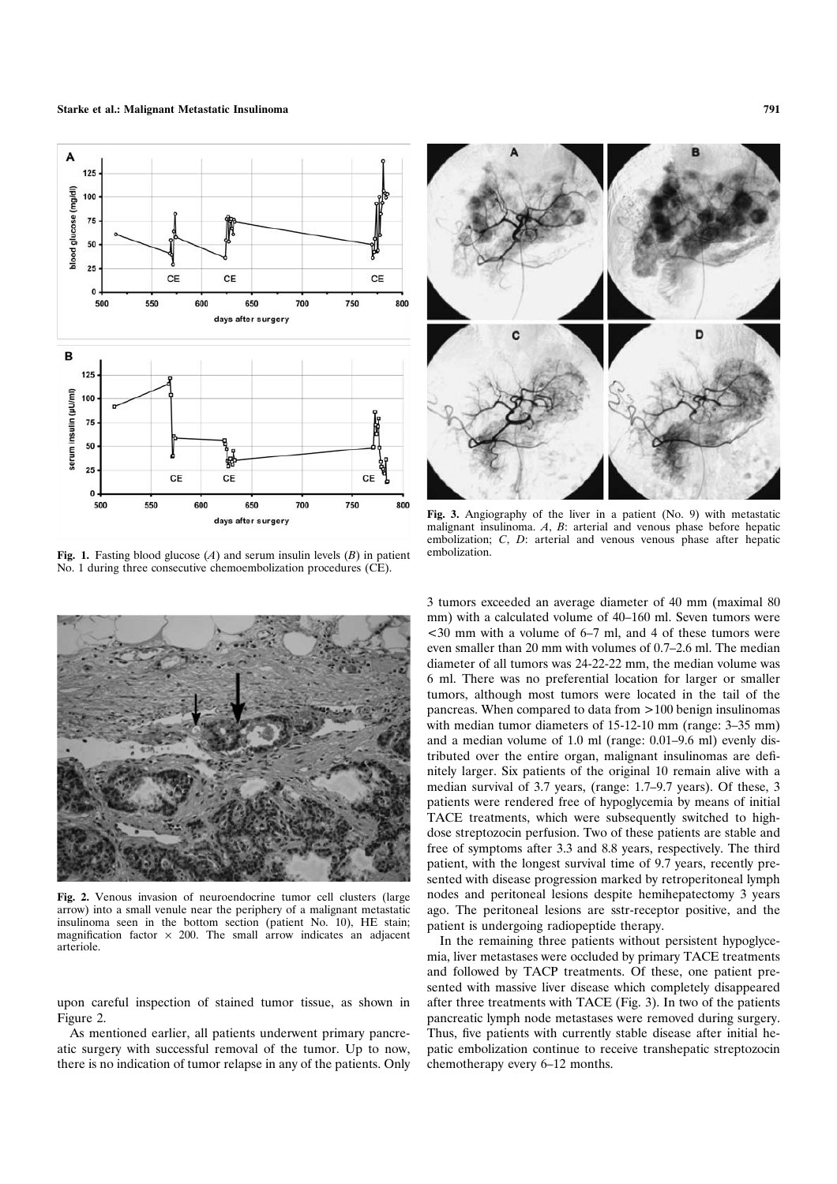

Fig. 1. Fasting blood glucose  $(A)$  and serum insulin levels  $(B)$  in patient No. 1 during three consecutive chemoembolization procedures (CE).



Fig. 2. Venous invasion of neuroendocrine tumor cell clusters (large arrow) into a small venule near the periphery of a malignant metastatic insulinoma seen in the bottom section (patient No. 10), HE stain; magnification factor  $\times$  200. The small arrow indicates an adjacent arteriole.

upon careful inspection of stained tumor tissue, as shown in Figure 2.

As mentioned earlier, all patients underwent primary pancreatic surgery with successful removal of the tumor. Up to now, there is no indication of tumor relapse in any of the patients. Only



Fig. 3. Angiography of the liver in a patient (No. 9) with metastatic malignant insulinoma. A, B: arterial and venous phase before hepatic embolization; C, D: arterial and venous venous phase after hepatic embolization.

3 tumors exceeded an average diameter of 40 mm (maximal 80 mm) with a calculated volume of 40–160 ml. Seven tumors were <30 mm with a volume of 6–7 ml, and 4 of these tumors were even smaller than 20 mm with volumes of 0.7–2.6 ml. The median diameter of all tumors was 24-22-22 mm, the median volume was 6 ml. There was no preferential location for larger or smaller tumors, although most tumors were located in the tail of the pancreas. When compared to data from >100 benign insulinomas with median tumor diameters of 15-12-10 mm (range: 3–35 mm) and a median volume of 1.0 ml (range: 0.01–9.6 ml) evenly distributed over the entire organ, malignant insulinomas are definitely larger. Six patients of the original 10 remain alive with a median survival of 3.7 years, (range: 1.7–9.7 years). Of these, 3 patients were rendered free of hypoglycemia by means of initial TACE treatments, which were subsequently switched to highdose streptozocin perfusion. Two of these patients are stable and free of symptoms after 3.3 and 8.8 years, respectively. The third patient, with the longest survival time of 9.7 years, recently presented with disease progression marked by retroperitoneal lymph nodes and peritoneal lesions despite hemihepatectomy 3 years ago. The peritoneal lesions are sstr-receptor positive, and the patient is undergoing radiopeptide therapy.

In the remaining three patients without persistent hypoglycemia, liver metastases were occluded by primary TACE treatments and followed by TACP treatments. Of these, one patient presented with massive liver disease which completely disappeared after three treatments with TACE (Fig. 3). In two of the patients pancreatic lymph node metastases were removed during surgery. Thus, five patients with currently stable disease after initial hepatic embolization continue to receive transhepatic streptozocin chemotherapy every 6–12 months.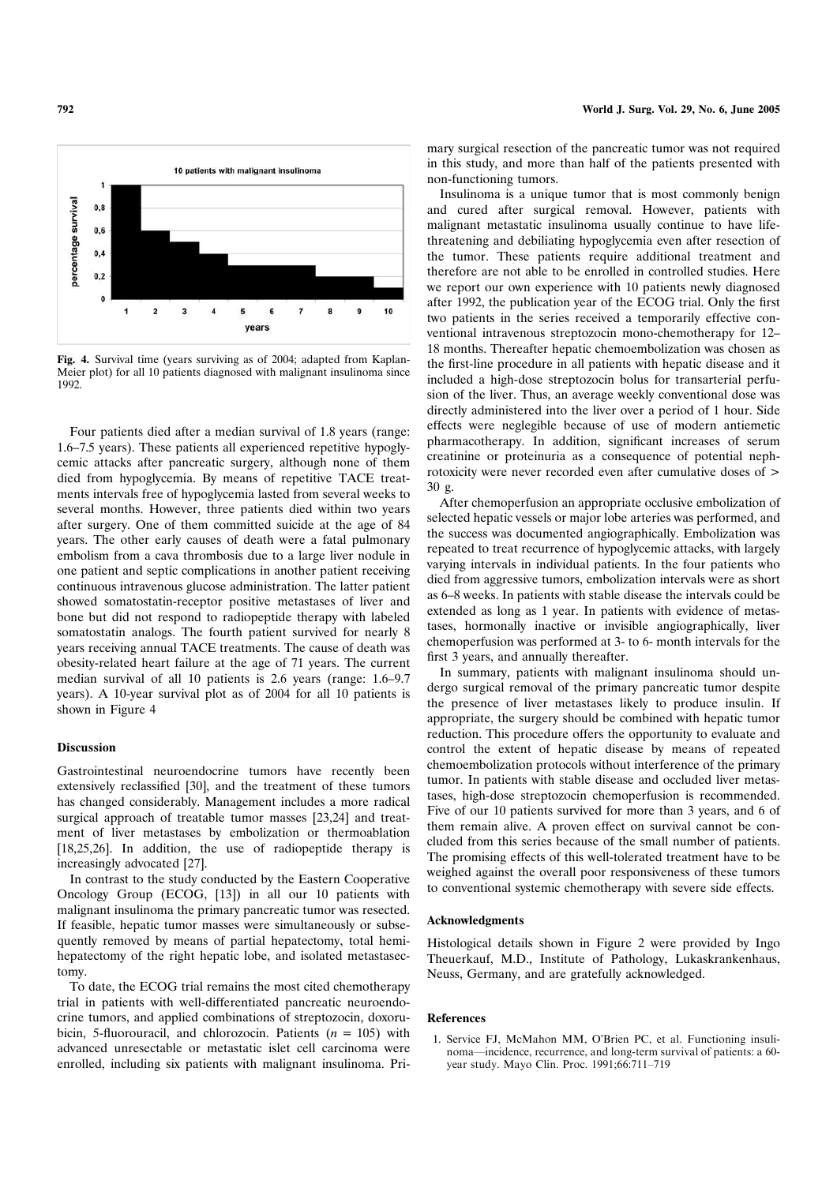

Fig. 4. Survival time (years surviving as of 2004; adapted from Kaplan-Meier plot) for all 10 patients diagnosed with malignant insulinoma since 1992.

Four patients died after a median survival of 1.8 years (range: 1.6–7.5 years). These patients all experienced repetitive hypoglycemic attacks after pancreatic surgery, although none of them died from hypoglycemia. By means of repetitive TACE treatments intervals free of hypoglycemia lasted from several weeks to several months. However, three patients died within two years after surgery. One of them committed suicide at the age of 84 years. The other early causes of death were a fatal pulmonary embolism from a cava thrombosis due to a large liver nodule in one patient and septic complications in another patient receiving continuous intravenous glucose administration. The latter patient showed somatostatin-receptor positive metastases of liver and bone but did not respond to radiopeptide therapy with labeled somatostatin analogs. The fourth patient survived for nearly 8 years receiving annual TACE treatments. The cause of death was obesity-related heart failure at the age of 71 years. The current median survival of all 10 patients is 2.6 years (range: 1.6–9.7 years). A 10-year survival plot as of 2004 for all 10 patients is shown in Figure 4

# **Discussion**

Gastrointestinal neuroendocrine tumors have recently been extensively reclassified [30], and the treatment of these tumors has changed considerably. Management includes a more radical surgical approach of treatable tumor masses [23,24] and treatment of liver metastases by embolization or thermoablation [18,25,26]. In addition, the use of radiopeptide therapy is increasingly advocated [27].

In contrast to the study conducted by the Eastern Cooperative Oncology Group (ECOG, [13]) in all our 10 patients with malignant insulinoma the primary pancreatic tumor was resected. If feasible, hepatic tumor masses were simultaneously or subsequently removed by means of partial hepatectomy, total hemihepatectomy of the right hepatic lobe, and isolated metastasectomy.

To date, the ECOG trial remains the most cited chemotherapy trial in patients with well-differentiated pancreatic neuroendocrine tumors, and applied combinations of streptozocin, doxorubicin, 5-fluorouracil, and chlorozocin. Patients  $(n = 105)$  with advanced unresectable or metastatic islet cell carcinoma were enrolled, including six patients with malignant insulinoma. Pri-

mary surgical resection of the pancreatic tumor was not required in this study, and more than half of the patients presented with non-functioning tumors.

Insulinoma is a unique tumor that is most commonly benign and cured after surgical removal. However, patients with malignant metastatic insulinoma usually continue to have lifethreatening and debiliating hypoglycemia even after resection of the tumor. These patients require additional treatment and therefore are not able to be enrolled in controlled studies. Here we report our own experience with 10 patients newly diagnosed after 1992, the publication year of the ECOG trial. Only the first two patients in the series received a temporarily effective conventional intravenous streptozocin mono-chemotherapy for 12– 18 months. Thereafter hepatic chemoembolization was chosen as the first-line procedure in all patients with hepatic disease and it included a high-dose streptozocin bolus for transarterial perfusion of the liver. Thus, an average weekly conventional dose was directly administered into the liver over a period of 1 hour. Side effects were neglegible because of use of modern antiemetic pharmacotherapy. In addition, significant increases of serum creatinine or proteinuria as a consequence of potential nephrotoxicity were never recorded even after cumulative doses of > 30 g.

After chemoperfusion an appropriate occlusive embolization of selected hepatic vessels or major lobe arteries was performed, and the success was documented angiographically. Embolization was repeated to treat recurrence of hypoglycemic attacks, with largely varying intervals in individual patients. In the four patients who died from aggressive tumors, embolization intervals were as short as 6–8 weeks. In patients with stable disease the intervals could be extended as long as 1 year. In patients with evidence of metastases, hormonally inactive or invisible angiographically, liver chemoperfusion was performed at 3- to 6- month intervals for the first 3 years, and annually thereafter.

In summary, patients with malignant insulinoma should undergo surgical removal of the primary pancreatic tumor despite the presence of liver metastases likely to produce insulin. If appropriate, the surgery should be combined with hepatic tumor reduction. This procedure offers the opportunity to evaluate and control the extent of hepatic disease by means of repeated chemoembolization protocols without interference of the primary tumor. In patients with stable disease and occluded liver metastases, high-dose streptozocin chemoperfusion is recommended. Five of our 10 patients survived for more than 3 years, and 6 of them remain alive. A proven effect on survival cannot be concluded from this series because of the small number of patients. The promising effects of this well-tolerated treatment have to be weighed against the overall poor responsiveness of these tumors to conventional systemic chemotherapy with severe side effects.

## Acknowledgments

Histological details shown in Figure 2 were provided by Ingo Theuerkauf, M.D., Institute of Pathology, Lukaskrankenhaus, Neuss, Germany, and are gratefully acknowledged.

## References

1. Service FJ, McMahon MM, OBrien PC, et al. Functioning insulinoma—incidence, recurrence, and long-term survival of patients: a 60 year study. Mayo Clin. Proc. 1991;66:711–719